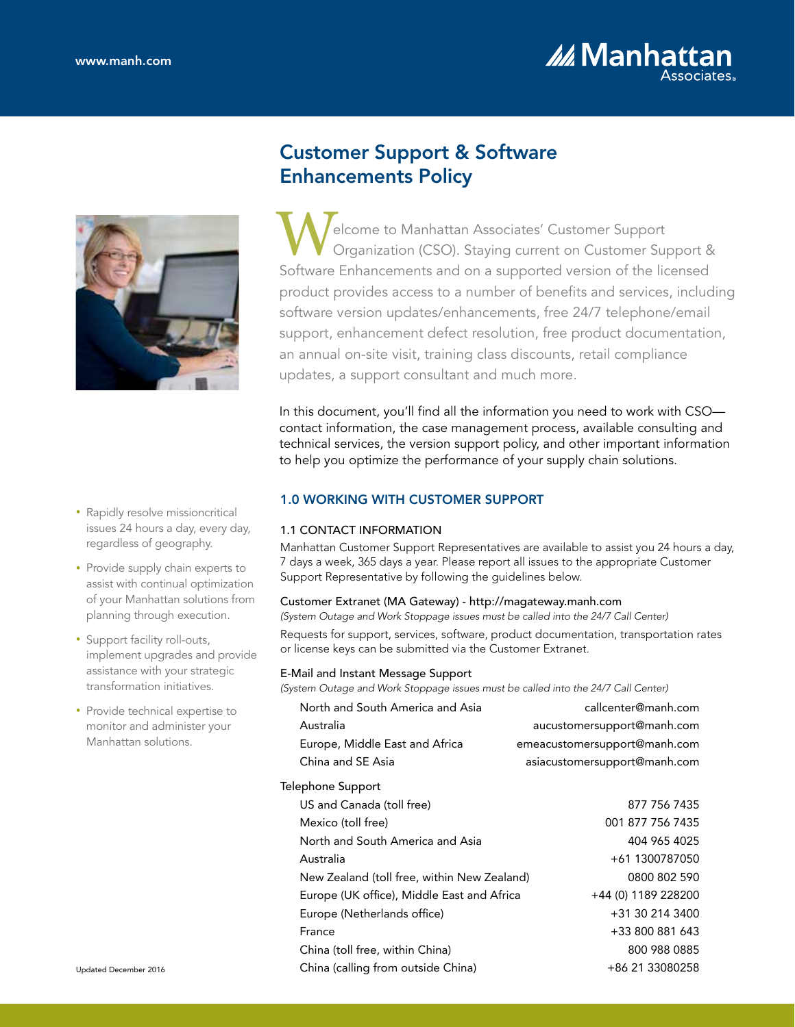



# • Rapidly resolve missioncritical issues 24 hours a day, every day, regardless of geography.

- Provide supply chain experts to assist with continual optimization of your Manhattan solutions from planning through execution.
- Support facility roll-outs, implement upgrades and provide assistance with your strategic transformation initiatives.
- Provide technical expertise to monitor and administer your Manhattan solutions.

# Customer Support & Software Enhancements Policy

elcome to Manhattan Associates' Customer Support Organization (CSO). Staying current on Customer Support & Welcome to Manhattan Associates' Customer Support<br>
Software Enhancements and on a supported version of the licensed<br>
Software Enhancements and on a supported version of the licensed product provides access to a number of benefits and services, including software version updates/enhancements, free 24/7 telephone/email support, enhancement defect resolution, free product documentation, an annual on-site visit, training class discounts, retail compliance updates, a support consultant and much more.

In this document, you'll find all the information you need to work with CSO contact information, the case management process, available consulting and technical services, the version support policy, and other important information to help you optimize the performance of your supply chain solutions.

# 1.0 WORKING WITH CUSTOMER SUPPORT

# 1.1 CONTACT INFORMATION

Manhattan Customer Support Representatives are available to assist you 24 hours a day, 7 days a week, 365 days a year. Please report all issues to the appropriate Customer Support Representative by following the guidelines below.

# Customer Extranet (MA Gateway) - http://magateway.manh.com

*(System Outage and Work Stoppage issues must be called into the 24/7 Call Center)* Requests for support, services, software, product documentation, transportation rates or license keys can be submitted via the Customer Extranet.

# E-Mail and Instant Message Support

*(System Outage and Work Stoppage issues must be called into the 24/7 Call Center)*

| North and South America and Asia            | callcenter@manh.com          |
|---------------------------------------------|------------------------------|
| Australia                                   | aucustomersupport@manh.com   |
| Europe, Middle East and Africa              | emeacustomersupport@manh.com |
| China and SE Asia                           | asiacustomersupport@manh.com |
| Telephone Support                           |                              |
| US and Canada (toll free)                   | 877 756 7435                 |
| Mexico (toll free)                          | 001 877 756 7435             |
| North and South America and Asia            | 404 965 4025                 |
| Australia                                   | +61 1300787050               |
| New Zealand (toll free, within New Zealand) | 0800 802 590                 |
| Europe (UK office), Middle East and Africa  | +44 (0) 1189 228200          |
| Europe (Netherlands office)                 | +31 30 214 3400              |
| France                                      | +33 800 881 643              |
| China (toll free, within China)             | 800 988 0885                 |
| China (calling from outside China)          | +86 21 33080258              |
|                                             |                              |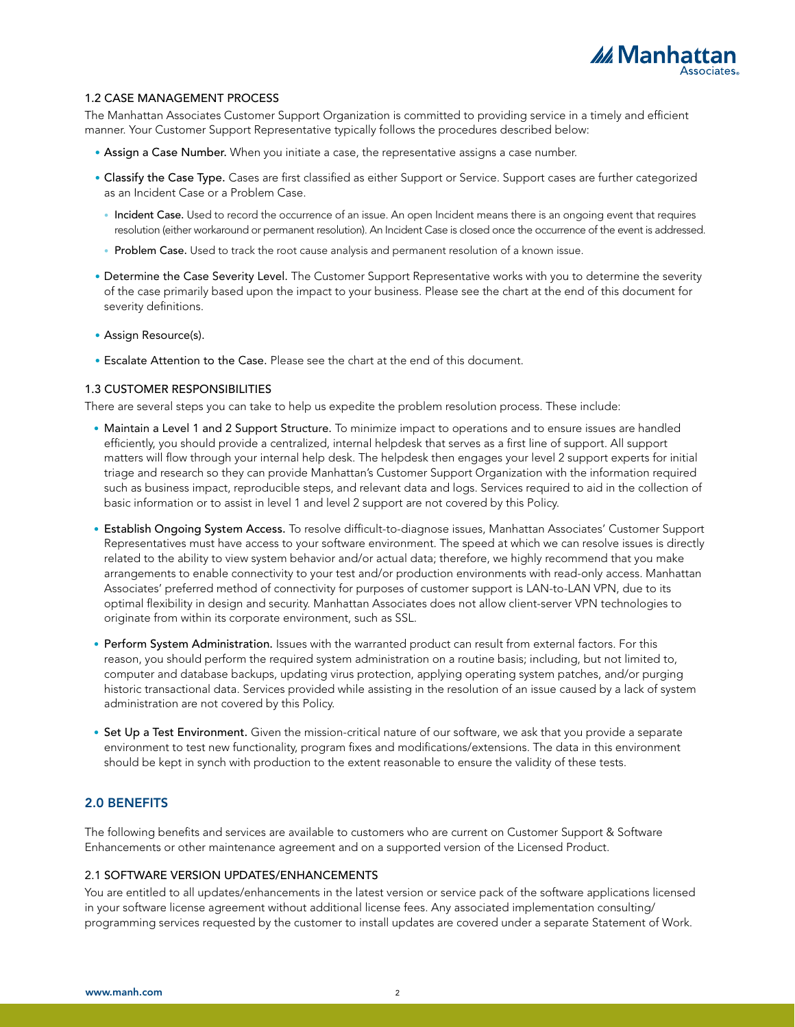

#### 1.2 CASE MANAGEMENT PROCESS

The Manhattan Associates Customer Support Organization is committed to providing service in a timely and efficient manner. Your Customer Support Representative typically follows the procedures described below:

- Assign a Case Number. When you initiate a case, the representative assigns a case number.
- Classify the Case Type. Cases are first classified as either Support or Service. Support cases are further categorized as an Incident Case or a Problem Case.
	- Incident Case. Used to record the occurrence of an issue. An open Incident means there is an ongoing event that requires resolution (either workaround or permanent resolution). An Incident Case is closed once the occurrence of the event is addressed.
	- Problem Case. Used to track the root cause analysis and permanent resolution of a known issue.
- Determine the Case Severity Level. The Customer Support Representative works with you to determine the severity of the case primarily based upon the impact to your business. Please see the chart at the end of this document for severity definitions.
- Assign Resource(s).
- Escalate Attention to the Case. Please see the chart at the end of this document.

#### 1.3 CUSTOMER RESPONSIBILITIES

There are several steps you can take to help us expedite the problem resolution process. These include:

- Maintain a Level 1 and 2 Support Structure. To minimize impact to operations and to ensure issues are handled efficiently, you should provide a centralized, internal helpdesk that serves as a first line of support. All support matters will flow through your internal help desk. The helpdesk then engages your level 2 support experts for initial triage and research so they can provide Manhattan's Customer Support Organization with the information required such as business impact, reproducible steps, and relevant data and logs. Services required to aid in the collection of basic information or to assist in level 1 and level 2 support are not covered by this Policy.
- Establish Ongoing System Access. To resolve difficult-to-diagnose issues, Manhattan Associates' Customer Support Representatives must have access to your software environment. The speed at which we can resolve issues is directly related to the ability to view system behavior and/or actual data; therefore, we highly recommend that you make arrangements to enable connectivity to your test and/or production environments with read-only access. Manhattan Associates' preferred method of connectivity for purposes of customer support is LAN-to-LAN VPN, due to its optimal flexibility in design and security. Manhattan Associates does not allow client-server VPN technologies to originate from within its corporate environment, such as SSL.
- Perform System Administration. Issues with the warranted product can result from external factors. For this reason, you should perform the required system administration on a routine basis; including, but not limited to, computer and database backups, updating virus protection, applying operating system patches, and/or purging historic transactional data. Services provided while assisting in the resolution of an issue caused by a lack of system administration are not covered by this Policy.
- Set Up a Test Environment. Given the mission-critical nature of our software, we ask that you provide a separate environment to test new functionality, program fixes and modifications/extensions. The data in this environment should be kept in synch with production to the extent reasonable to ensure the validity of these tests.

## 2.0 BENEFITS

The following benefits and services are available to customers who are current on Customer Support & Software Enhancements or other maintenance agreement and on a supported version of the Licensed Product.

#### 2.1 SOFTWARE VERSION UPDATES/ENHANCEMENTS

You are entitled to all updates/enhancements in the latest version or service pack of the software applications licensed in your software license agreement without additional license fees. Any associated implementation consulting/ programming services requested by the customer to install updates are covered under a separate Statement of Work.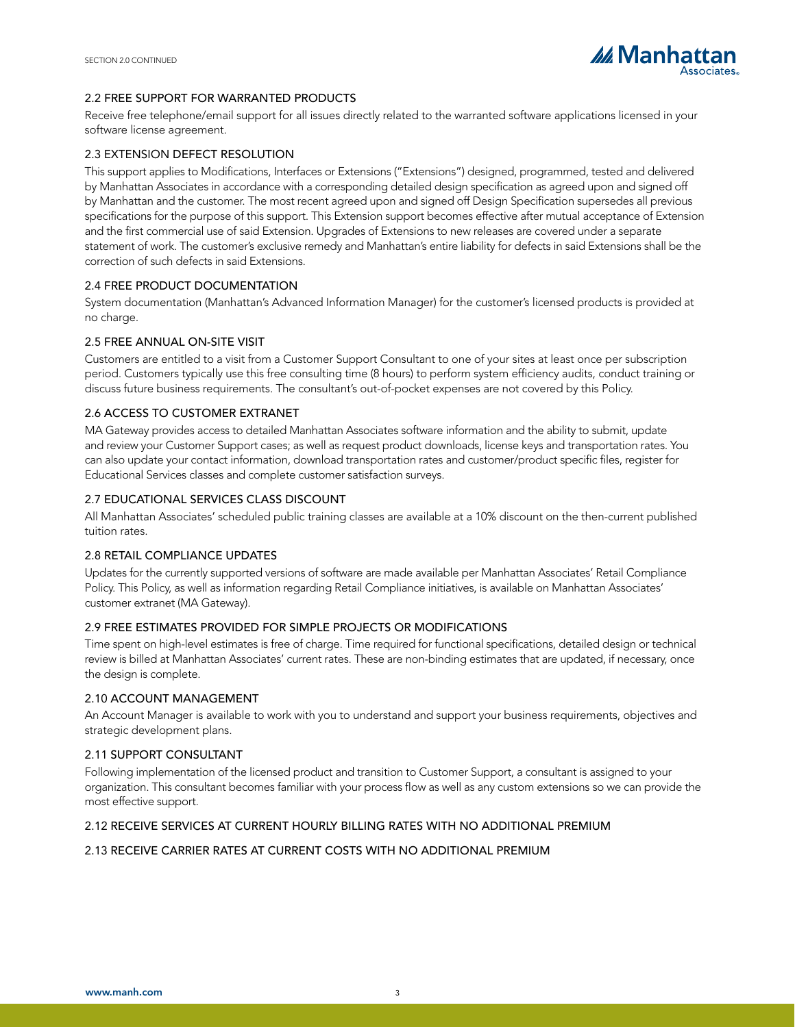

## 2.2 FREE SUPPORT FOR WARRANTED PRODUCTS

Receive free telephone/email support for all issues directly related to the warranted software applications licensed in your software license agreement.

#### 2.3 EXTENSION DEFECT RESOLUTION

This support applies to Modifications, Interfaces or Extensions ("Extensions") designed, programmed, tested and delivered by Manhattan Associates in accordance with a corresponding detailed design specification as agreed upon and signed off by Manhattan and the customer. The most recent agreed upon and signed off Design Specification supersedes all previous specifications for the purpose of this support. This Extension support becomes effective after mutual acceptance of Extension and the first commercial use of said Extension. Upgrades of Extensions to new releases are covered under a separate statement of work. The customer's exclusive remedy and Manhattan's entire liability for defects in said Extensions shall be the correction of such defects in said Extensions.

## 2.4 FREE PRODUCT DOCUMENTATION

System documentation (Manhattan's Advanced Information Manager) for the customer's licensed products is provided at no charge.

#### 2.5 FREE ANNUAL ON-SITE VISIT

Customers are entitled to a visit from a Customer Support Consultant to one of your sites at least once per subscription period. Customers typically use this free consulting time (8 hours) to perform system efficiency audits, conduct training or discuss future business requirements. The consultant's out-of-pocket expenses are not covered by this Policy.

## 2.6 ACCESS TO CUSTOMER EXTRANET

MA Gateway provides access to detailed Manhattan Associates software information and the ability to submit, update and review your Customer Support cases; as well as request product downloads, license keys and transportation rates. You can also update your contact information, download transportation rates and customer/product specific files, register for Educational Services classes and complete customer satisfaction surveys.

#### 2.7 EDUCATIONAL SERVICES CLASS DISCOUNT

All Manhattan Associates' scheduled public training classes are available at a 10% discount on the then-current published tuition rates.

#### 2.8 RETAIL COMPLIANCE UPDATES

Updates for the currently supported versions of software are made available per Manhattan Associates' Retail Compliance Policy. This Policy, as well as information regarding Retail Compliance initiatives, is available on Manhattan Associates' customer extranet (MA Gateway).

## 2.9 FREE ESTIMATES PROVIDED FOR SIMPLE PROJECTS OR MODIFICATIONS

Time spent on high-level estimates is free of charge. Time required for functional specifications, detailed design or technical review is billed at Manhattan Associates' current rates. These are non-binding estimates that are updated, if necessary, once the design is complete.

#### 2.10 ACCOUNT MANAGEMENT

An Account Manager is available to work with you to understand and support your business requirements, objectives and strategic development plans.

#### 2.11 SUPPORT CONSULTANT

Following implementation of the licensed product and transition to Customer Support, a consultant is assigned to your organization. This consultant becomes familiar with your process flow as well as any custom extensions so we can provide the most effective support.

## 2.12 RECEIVE SERVICES AT CURRENT HOURLY BILLING RATES WITH NO ADDITIONAL PREMIUM

## 2.13 RECEIVE CARRIER RATES AT CURRENT COSTS WITH NO ADDITIONAL PREMIUM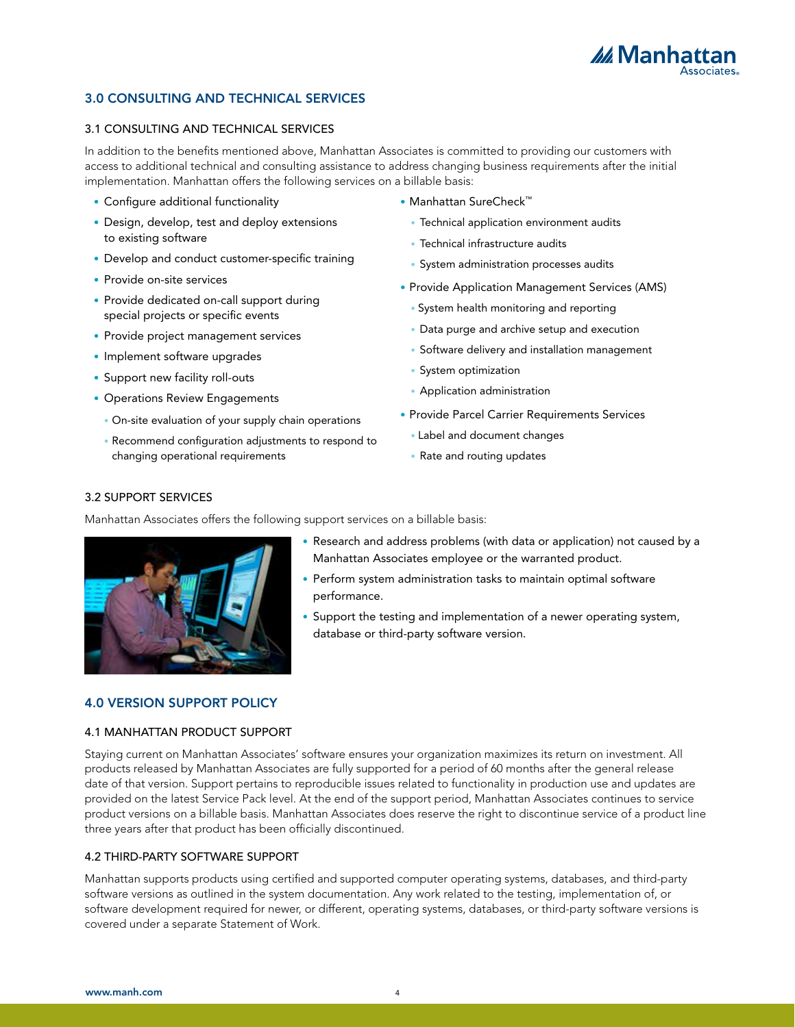

# 3.0 CONSULTING AND TECHNICAL SERVICES

#### 3.1 CONSULTING AND TECHNICAL SERVICES

In addition to the benefits mentioned above, Manhattan Associates is committed to providing our customers with access to additional technical and consulting assistance to address changing business requirements after the initial implementation. Manhattan offers the following services on a billable basis:

- Configure additional functionality
- Design, develop, test and deploy extensions to existing software
- Develop and conduct customer-specific training
- Provide on-site services
- Provide dedicated on-call support during special projects or specific events
- Provide project management services
- Implement software upgrades
- Support new facility roll-outs
- Operations Review Engagements
	- On-site evaluation of your supply chain operations
	- Recommend configuration adjustments to respond to changing operational requirements
- Manhattan SureCheck™
	- Technical application environment audits
	- Technical infrastructure audits
	- System administration processes audits
- Provide Application Management Services (AMS)
	- System health monitoring and reporting
	- Data purge and archive setup and execution
	- Software delivery and installation management
	- System optimization
	- Application administration
- Provide Parcel Carrier Requirements Services
	- Label and document changes
	- Rate and routing updates

## 3.2 SUPPORT SERVICES

Manhattan Associates offers the following support services on a billable basis:



- Research and address problems (with data or application) not caused by a Manhattan Associates employee or the warranted product.
- Perform system administration tasks to maintain optimal software performance.
- Support the testing and implementation of a newer operating system, database or third-party software version.

# 4.0 VERSION SUPPORT POLICY

#### 4.1 MANHATTAN PRODUCT SUPPORT

Staying current on Manhattan Associates' software ensures your organization maximizes its return on investment. All products released by Manhattan Associates are fully supported for a period of 60 months after the general release date of that version. Support pertains to reproducible issues related to functionality in production use and updates are provided on the latest Service Pack level. At the end of the support period, Manhattan Associates continues to service product versions on a billable basis. Manhattan Associates does reserve the right to discontinue service of a product line three years after that product has been officially discontinued.

# 4.2 THIRD-PARTY SOFTWARE SUPPORT

Manhattan supports products using certified and supported computer operating systems, databases, and third-party software versions as outlined in the system documentation. Any work related to the testing, implementation of, or software development required for newer, or different, operating systems, databases, or third-party software versions is covered under a separate Statement of Work.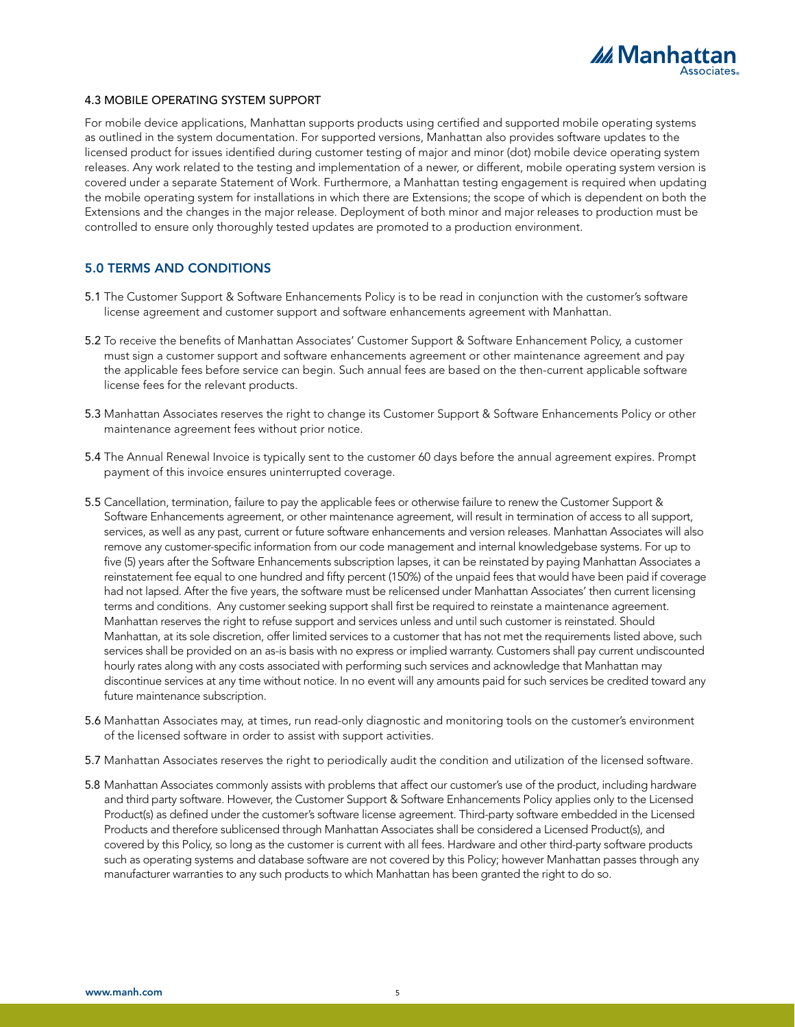

#### 4.3 MOBILE OPERATING SYSTEM SUPPORT

For mobile device applications, Manhattan supports products using certified and supported mobile operating systems as outlined in the system documentation. For supported versions, Manhattan also provides software updates to the licensed product for issues identified during customer testing of major and minor (dot) mobile device operating system releases. Any work related to the testing and implementation of a newer, or different, mobile operating system version is covered under a separate Statement of Work. Furthermore, a Manhattan testing engagement is required when updating the mobile operating system for installations in which there are Extensions; the scope of which is dependent on both the Extensions and the changes in the major release. Deployment of both minor and major releases to production must be controlled to ensure only thoroughly tested updates are promoted to a production environment.

# 5.0 TERMS AND CONDITIONS

- 5.1 The Customer Support & Software Enhancements Policy is to be read in conjunction with the customer's software license agreement and customer support and software enhancements agreement with Manhattan.
- 5.2 To receive the benefits of Manhattan Associates' Customer Support & Software Enhancement Policy, a customer must sign a customer support and software enhancements agreement or other maintenance agreement and pay the applicable fees before service can begin. Such annual fees are based on the then-current applicable software license fees for the relevant products.
- 5.3 Manhattan Associates reserves the right to change its Customer Support & Software Enhancements Policy or other maintenance agreement fees without prior notice.
- 5.4 The Annual Renewal Invoice is typically sent to the customer 60 days before the annual agreement expires. Prompt payment of this invoice ensures uninterrupted coverage.
- 5.5 Cancellation, termination, failure to pay the applicable fees or otherwise failure to renew the Customer Support & Software Enhancements agreement, or other maintenance agreement, will result in termination of access to all support, services, as well as any past, current or future software enhancements and version releases. Manhattan Associates will also remove any customer-specific information from our code management and internal knowledgebase systems. For up to five (5) years after the Software Enhancements subscription lapses, it can be reinstated by paying Manhattan Associates a reinstatement fee equal to one hundred and fifty percent (150%) of the unpaid fees that would have been paid if coverage had not lapsed. After the five years, the software must be relicensed under Manhattan Associates' then current licensing terms and conditions. Any customer seeking support shall first be required to reinstate a maintenance agreement. Manhattan reserves the right to refuse support and services unless and until such customer is reinstated. Should Manhattan, at its sole discretion, offer limited services to a customer that has not met the requirements listed above, such services shall be provided on an as-is basis with no express or implied warranty. Customers shall pay current undiscounted hourly rates along with any costs associated with performing such services and acknowledge that Manhattan may discontinue services at any time without notice. In no event will any amounts paid for such services be credited toward any future maintenance subscription.
- 5.6 Manhattan Associates may, at times, run read-only diagnostic and monitoring tools on the customer's environment of the licensed software in order to assist with support activities.
- 5.7 Manhattan Associates reserves the right to periodically audit the condition and utilization of the licensed software.
- 5.8 Manhattan Associates commonly assists with problems that affect our customer's use of the product, including hardware and third party software. However, the Customer Support & Software Enhancements Policy applies only to the Licensed Product(s) as defined under the customer's software license agreement. Third-party software embedded in the Licensed Products and therefore sublicensed through Manhattan Associates shall be considered a Licensed Product(s), and covered by this Policy, so long as the customer is current with all fees. Hardware and other third-party software products such as operating systems and database software are not covered by this Policy; however Manhattan passes through any manufacturer warranties to any such products to which Manhattan has been granted the right to do so.